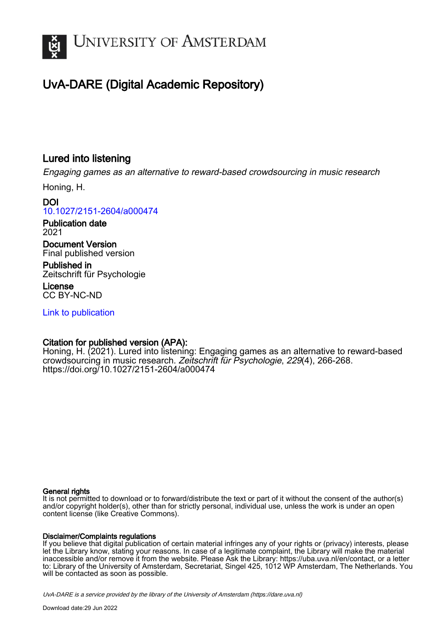

# UvA-DARE (Digital Academic Repository)

# Lured into listening

Engaging games as an alternative to reward-based crowdsourcing in music research

Honing, H.

DOI [10.1027/2151-2604/a000474](https://doi.org/10.1027/2151-2604/a000474)

Publication date 2021

Document Version Final published version

Published in Zeitschrift für Psychologie

License CC BY-NC-ND

[Link to publication](https://dare.uva.nl/personal/pure/en/publications/lured-into-listening(ee90e1ce-6a6e-4a13-82cf-afacef683d35).html)

# Citation for published version (APA):

Honing, H. (2021). Lured into listening: Engaging games as an alternative to reward-based crowdsourcing in music research. Zeitschrift für Psychologie, 229(4), 266-268. <https://doi.org/10.1027/2151-2604/a000474>

#### General rights

It is not permitted to download or to forward/distribute the text or part of it without the consent of the author(s) and/or copyright holder(s), other than for strictly personal, individual use, unless the work is under an open content license (like Creative Commons).

#### Disclaimer/Complaints regulations

If you believe that digital publication of certain material infringes any of your rights or (privacy) interests, please let the Library know, stating your reasons. In case of a legitimate complaint, the Library will make the material inaccessible and/or remove it from the website. Please Ask the Library: https://uba.uva.nl/en/contact, or a letter to: Library of the University of Amsterdam, Secretariat, Singel 425, 1012 WP Amsterdam, The Netherlands. You will be contacted as soon as possible.

UvA-DARE is a service provided by the library of the University of Amsterdam (http*s*://dare.uva.nl)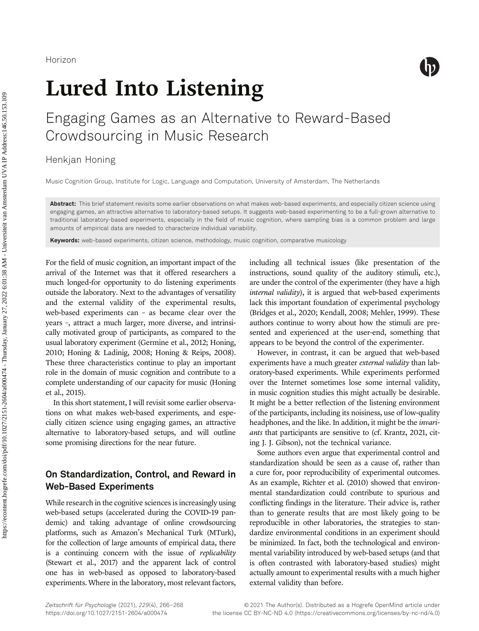

# Lured Into Listening

# Engaging Games as an Alternative to Reward-Based Crowdsourcing in Music Research

Henkjan Honing

Music Cognition Group, Institute for Logic, Language and Computation, University of Amsterdam, The Netherlands

Abstract: This brief statement revisits some earlier observations on what makes web-based experiments, and especially citizen science using engaging games, an attractive alternative to laboratory-based setups. It suggests web-based experimenting to be a full-grown alternative to traditional laboratory-based experiments, especially in the field of music cognition, where sampling bias is a common problem and large amounts of empirical data are needed to characterize individual variability.

**Keywords:** web-based experiments, citizen science, methodology, music cognition, comparative musicology

For the field of music cognition, an important impact of the arrival of the Internet was that it offered researchers a much longed-for opportunity to do listening experiments outside the laboratory. Next to the advantages of versatility and the external validity of the experimental results, web-based experiments can – as became clear over the years –, attract a much larger, more diverse, and intrinsically motivated group of participants, as compared to the usual laboratory experiment (Germine et al., 2012; Honing, 2010; Honing & Ladinig, 2008; Honing & Reips, 2008). These three characteristics continue to play an important role in the domain of music cognition and contribute to a complete understanding of our capacity for music (Honing et al., 2015).

In this short statement, I will revisit some earlier observations on what makes web-based experiments, and especially citizen science using engaging games, an attractive alternative to laboratory-based setups, and will outline some promising directions for the near future.

# On Standardization, Control, and Reward in Web-Based Experiments

While research in the cognitive sciences is increasingly using web-based setups (accelerated during the COVID-19 pandemic) and taking advantage of online crowdsourcing platforms, such as Amazon's Mechanical Turk (MTurk), for the collection of large amounts of empirical data, there is a continuing concern with the issue of replicability (Stewart et al., 2017) and the apparent lack of control one has in web-based as opposed to laboratory-based experiments. Where in the laboratory, most relevant factors,

including all technical issues (like presentation of the instructions, sound quality of the auditory stimuli, etc.), are under the control of the experimenter (they have a high internal validity), it is argued that web-based experiments lack this important foundation of experimental psychology (Bridges et al., 2020; Kendall, 2008; Mehler, 1999). These authors continue to worry about how the stimuli are presented and experienced at the user-end, something that appears to be beyond the control of the experimenter.

However, in contrast, it can be argued that web-based experiments have a much greater external validity than laboratory-based experiments. While experiments performed over the Internet sometimes lose some internal validity, in music cognition studies this might actually be desirable. It might be a better reflection of the listening environment of the participants, including its noisiness, use of low-quality headphones, and the like. In addition, it might be the *invari*ants that participants are sensitive to (cf. Krantz, 2021, citing J. J. Gibson), not the technical variance.

Some authors even argue that experimental control and standardization should be seen as a cause of, rather than a cure for, poor reproducibility of experimental outcomes. As an example, Richter et al. (2010) showed that environmental standardization could contribute to spurious and conflicting findings in the literature. Their advice is, rather than to generate results that are most likely going to be reproducible in other laboratories, the strategies to standardize environmental conditions in an experiment should be minimized. In fact, both the technological and environmental variability introduced by web-based setups (and that is often contrasted with laboratory-based studies) might actually amount to experimental results with a much higher external validity than before.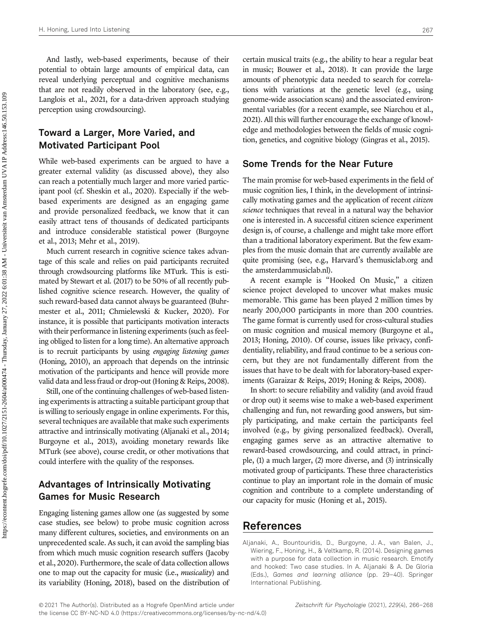And lastly, web-based experiments, because of their potential to obtain large amounts of empirical data, can reveal underlying perceptual and cognitive mechanisms that are not readily observed in the laboratory (see, e.g., Langlois et al., 2021, for a data-driven approach studying perception using crowdsourcing).

## Toward a Larger, More Varied, and Motivated Participant Pool

While web-based experiments can be argued to have a greater external validity (as discussed above), they also can reach a potentially much larger and more varied participant pool (cf. Sheskin et al., 2020). Especially if the webbased experiments are designed as an engaging game and provide personalized feedback, we know that it can easily attract tens of thousands of dedicated participants and introduce considerable statistical power (Burgoyne et al., 2013; Mehr et al., 2019).

Much current research in cognitive science takes advantage of this scale and relies on paid participants recruited through crowdsourcing platforms like MTurk. This is estimated by Stewart et al. (2017) to be 50% of all recently published cognitive science research. However, the quality of such reward-based data cannot always be guaranteed (Buhrmester et al., 2011; Chmielewski & Kucker, 2020). For instance, it is possible that participants motivation interacts with their performance in listening experiments (such as feeling obliged to listen for a long time). An alternative approach is to recruit participants by using engaging listening games (Honing, 2010), an approach that depends on the intrinsic motivation of the participants and hence will provide more valid data and less fraud or drop-out (Honing & Reips, 2008).

Still, one of the continuing challenges of web-based listening experiments is attracting a suitable participant group that is willing to seriously engage in online experiments. For this, several techniques are available that make such experiments attractive and intrinsically motivating (Aljanaki et al., 2014; Burgoyne et al., 2013), avoiding monetary rewards like MTurk (see above), course credit, or other motivations that could interfere with the quality of the responses.

# Advantages of Intrinsically Motivating Games for Music Research

Engaging listening games allow one (as suggested by some case studies, see below) to probe music cognition across many different cultures, societies, and environments on an unprecedented scale. As such, it can avoid the sampling bias from which much music cognition research suffers (Jacoby et al., 2020). Furthermore, the scale of data collection allows one to map out the capacity for music (i.e., musicality) and its variability (Honing, 2018), based on the distribution of

certain musical traits (e.g., the ability to hear a regular beat in music; Bouwer et al., 2018). It can provide the large amounts of phenotypic data needed to search for correlations with variations at the genetic level (e.g., using genome-wide association scans) and the associated environmental variables (for a recent example, see Niarchou et al., 2021). All this will further encourage the exchange of knowledge and methodologies between the fields of music cognition, genetics, and cognitive biology (Gingras et al., 2015).

### Some Trends for the Near Future

The main promise for web-based experiments in the field of music cognition lies, I think, in the development of intrinsically motivating games and the application of recent *citizen* science techniques that reveal in a natural way the behavior one is interested in. A successful citizen science experiment design is, of course, a challenge and might take more effort than a traditional laboratory experiment. But the few examples from the music domain that are currently available are quite promising (see, e.g., Harvard's themusiclab.org and the amsterdammusiclab.nl).

A recent example is "Hooked On Music," a citizen science project developed to uncover what makes music memorable. This game has been played 2 million times by nearly 200,000 participants in more than 200 countries. The game format is currently used for cross-cultural studies on music cognition and musical memory (Burgoyne et al., 2013; Honing, 2010). Of course, issues like privacy, confidentiality, reliability, and fraud continue to be a serious concern, but they are not fundamentally different from the issues that have to be dealt with for laboratory-based experiments (Garaizar & Reips, 2019; Honing & Reips, 2008).

In short: to secure reliability and validity (and avoid fraud or drop out) it seems wise to make a web-based experiment challenging and fun, not rewarding good answers, but simply participating, and make certain the participants feel involved (e.g., by giving personalized feedback). Overall, engaging games serve as an attractive alternative to reward-based crowdsourcing, and could attract, in principle, (1) a much larger, (2) more diverse, and (3) intrinsically motivated group of participants. These three characteristics continue to play an important role in the domain of music cognition and contribute to a complete understanding of our capacity for music (Honing et al., 2015).

## References

Aljanaki, A., Bountouridis, D., Burgoyne, J. A., van Balen, J., Wiering, F., Honing, H., & Veltkamp, R. (2014). Designing games with a purpose for data collection in music research. Emotify and hooked: Two case studies. In A. Aljanaki & A. De Gloria (Eds.), Games and learning alliance (pp. 29–40). Springer International Publishing.